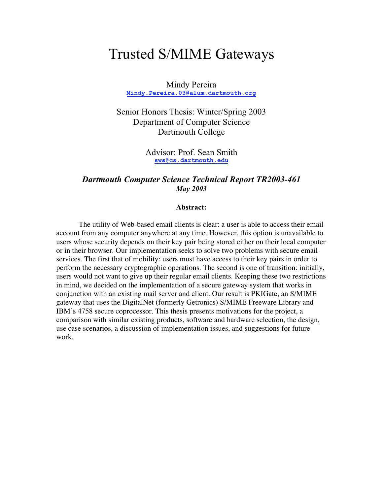# Trusted S/MIME Gateways

Mindy Pereira **Mindy.Pereira.03@alum.dartmouth.org**

Senior Honors Thesis: Winter/Spring 2003 Department of Computer Science Dartmouth College

> Advisor: Prof. Sean Smith **sws@cs.dartmouth.edu**

#### *Dartmouth Computer Science Technical Report TR2003-461 May 2003*

#### **Abstract:**

The utility of Web-based email clients is clear: a user is able to access their email account from any computer anywhere at any time. However, this option is unavailable to users whose security depends on their key pair being stored either on their local computer or in their browser. Our implementation seeks to solve two problems with secure email services. The first that of mobility: users must have access to their key pairs in order to perform the necessary cryptographic operations. The second is one of transition: initially, users would not want to give up their regular email clients. Keeping these two restrictions in mind, we decided on the implementation of a secure gateway system that works in conjunction with an existing mail server and client. Our result is PKIGate, an S/MIME gateway that uses the DigitalNet (formerly Getronics) S/MIME Freeware Library and IBM's 4758 secure coprocessor. This thesis presents motivations for the project, a comparison with similar existing products, software and hardware selection, the design, use case scenarios, a discussion of implementation issues, and suggestions for future work.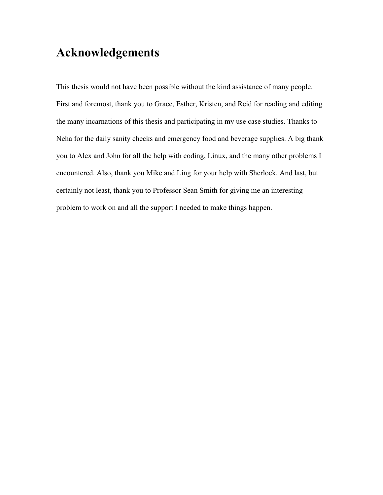# **Acknowledgements**

This thesis would not have been possible without the kind assistance of many people. First and foremost, thank you to Grace, Esther, Kristen, and Reid for reading and editing the many incarnations of this thesis and participating in my use case studies. Thanks to Neha for the daily sanity checks and emergency food and beverage supplies. A big thank you to Alex and John for all the help with coding, Linux, and the many other problems I encountered. Also, thank you Mike and Ling for your help with Sherlock. And last, but certainly not least, thank you to Professor Sean Smith for giving me an interesting problem to work on and all the support I needed to make things happen.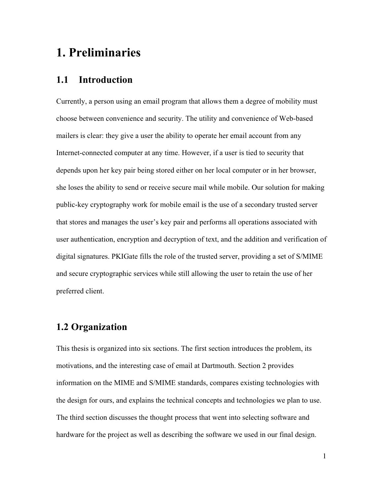## **1. Preliminaries**

## **1.1 Introduction**

Currently, a person using an email program that allows them a degree of mobility must choose between convenience and security. The utility and convenience of Web-based mailers is clear: they give a user the ability to operate her email account from any Internet-connected computer at any time. However, if a user is tied to security that depends upon her key pair being stored either on her local computer or in her browser, she loses the ability to send or receive secure mail while mobile. Our solution for making public-key cryptography work for mobile email is the use of a secondary trusted server that stores and manages the user's key pair and performs all operations associated with user authentication, encryption and decryption of text, and the addition and verification of digital signatures. PKIGate fills the role of the trusted server, providing a set of S/MIME and secure cryptographic services while still allowing the user to retain the use of her preferred client.

## **1.2 Organization**

This thesis is organized into six sections. The first section introduces the problem, its motivations, and the interesting case of email at Dartmouth. Section 2 provides information on the MIME and S/MIME standards, compares existing technologies with the design for ours, and explains the technical concepts and technologies we plan to use. The third section discusses the thought process that went into selecting software and hardware for the project as well as describing the software we used in our final design.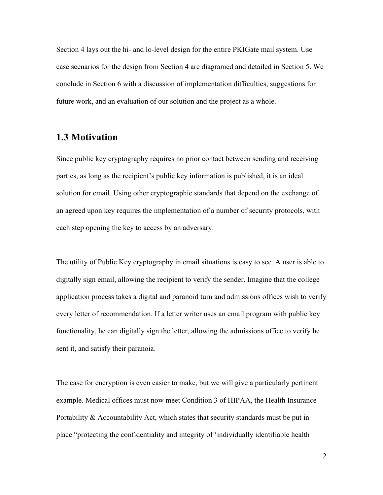Section 4 lays out the hi- and lo-level design for the entire PKIGate mail system. Use case scenarios for the design from Section 4 are diagramed and detailed in Section 5. We conclude in Section 6 with a discussion of implementation difficulties, suggestions for future work, and an evaluation of our solution and the project as a whole.

#### **1.3 Motivation**

Since public key cryptography requires no prior contact between sending and receiving parties, as long as the recipient's public key information is published, it is an ideal solution for email. Using other cryptographic standards that depend on the exchange of an agreed upon key requires the implementation of a number of security protocols, with each step opening the key to access by an adversary.

The utility of Public Key cryptography in email situations is easy to see. A user is able to digitally sign email, allowing the recipient to verify the sender. Imagine that the college application process takes a digital and paranoid turn and admissions offices wish to verify every letter of recommendation. If a letter writer uses an email program with public key functionality, he can digitally sign the letter, allowing the admissions office to verify he sent it, and satisfy their paranoia.

The case for encryption is even easier to make, but we will give a particularly pertinent example. Medical offices must now meet Condition 3 of HIPAA, the Health Insurance Portability & Accountability Act, which states that security standards must be put in place "protecting the confidentiality and integrity of 'individually identifiable health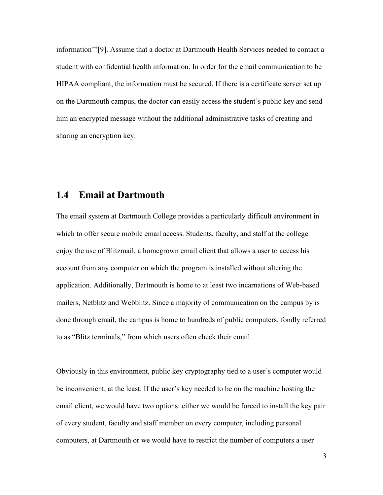information'"[9]. Assume that a doctor at Dartmouth Health Services needed to contact a student with confidential health information. In order for the email communication to be HIPAA compliant, the information must be secured. If there is a certificate server set up on the Dartmouth campus, the doctor can easily access the student's public key and send him an encrypted message without the additional administrative tasks of creating and sharing an encryption key.

## **1.4 Email at Dartmouth**

The email system at Dartmouth College provides a particularly difficult environment in which to offer secure mobile email access. Students, faculty, and staff at the college enjoy the use of Blitzmail, a homegrown email client that allows a user to access his account from any computer on which the program is installed without altering the application. Additionally, Dartmouth is home to at least two incarnations of Web-based mailers, Netblitz and Webblitz. Since a majority of communication on the campus by is done through email, the campus is home to hundreds of public computers, fondly referred to as "Blitz terminals," from which users often check their email.

Obviously in this environment, public key cryptography tied to a user's computer would be inconvenient, at the least. If the user's key needed to be on the machine hosting the email client, we would have two options: either we would be forced to install the key pair of every student, faculty and staff member on every computer, including personal computers, at Dartmouth or we would have to restrict the number of computers a user

3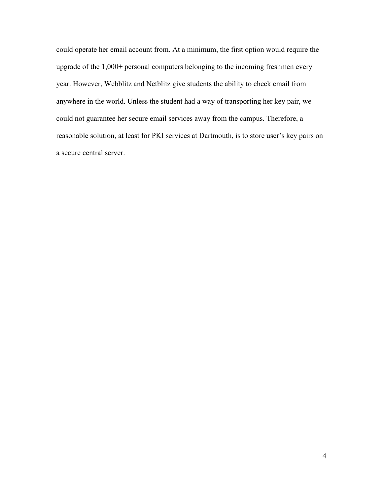could operate her email account from. At a minimum, the first option would require the upgrade of the 1,000+ personal computers belonging to the incoming freshmen every year. However, Webblitz and Netblitz give students the ability to check email from anywhere in the world. Unless the student had a way of transporting her key pair, we could not guarantee her secure email services away from the campus. Therefore, a reasonable solution, at least for PKI services at Dartmouth, is to store user's key pairs on a secure central server.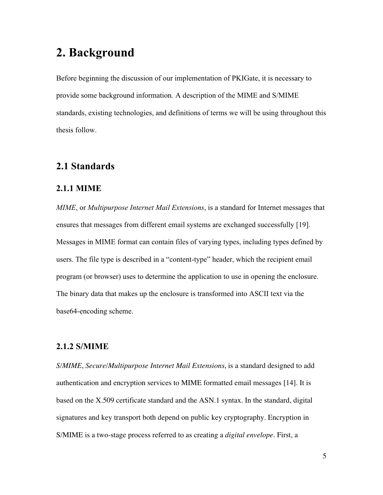# **2. Background**

Before beginning the discussion of our implementation of PKIGate, it is necessary to provide some background information. A description of the MIME and S/MIME standards, existing technologies, and definitions of terms we will be using throughout this thesis follow.

## **2.1 Standards**

#### **2.1.1 MIME**

*MIME*, or *Multipurpose Internet Mail Extensions*, is a standard for Internet messages that ensures that messages from different email systems are exchanged successfully [19]. Messages in MIME format can contain files of varying types, including types defined by users. The file type is described in a "content-type" header, which the recipient email program (or browser) uses to determine the application to use in opening the enclosure. The binary data that makes up the enclosure is transformed into ASCII text via the base64-encoding scheme.

#### **2.1.2 S/MIME**

*S/MIME*, *Secure/Multipurpose Internet Mail Extensions*, is a standard designed to add authentication and encryption services to MIME formatted email messages [14]. It is based on the X.509 certificate standard and the ASN.1 syntax. In the standard, digital signatures and key transport both depend on public key cryptography. Encryption in S/MIME is a two-stage process referred to as creating a *digital envelope*. First, a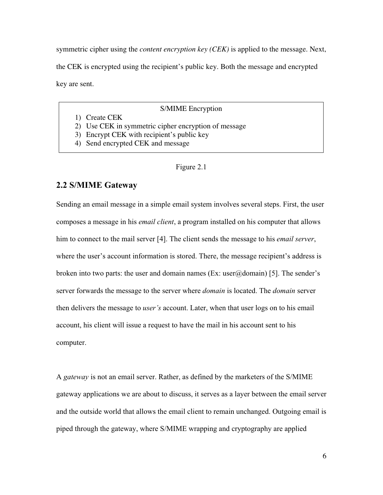symmetric cipher using the *content encryption key (CEK)* is applied to the message. Next, the CEK is encrypted using the recipient's public key. Both the message and encrypted key are sent.

#### S/MIME Encryption

- 1) Create CEK
- 2) Use CEK in symmetric cipher encryption of message
- 3) Encrypt CEK with recipient's public key
- 4) Send encrypted CEK and message

#### Figure 2.1

#### **2.2 S/MIME Gateway**

Sending an email message in a simple email system involves several steps. First, the user composes a message in his *email client*, a program installed on his computer that allows him to connect to the mail server [4]. The client sends the message to his *email server*, where the user's account information is stored. There, the message recipient's address is broken into two parts: the user and domain names (Ex: user $\omega$ domain) [5]. The sender's server forwards the message to the server where *domain* is located. The *domain* server then delivers the message to *user's* account. Later, when that user logs on to his email account, his client will issue a request to have the mail in his account sent to his computer.

A *gateway* is not an email server. Rather, as defined by the marketers of the S/MIME gateway applications we are about to discuss, it serves as a layer between the email server and the outside world that allows the email client to remain unchanged. Outgoing email is piped through the gateway, where S/MIME wrapping and cryptography are applied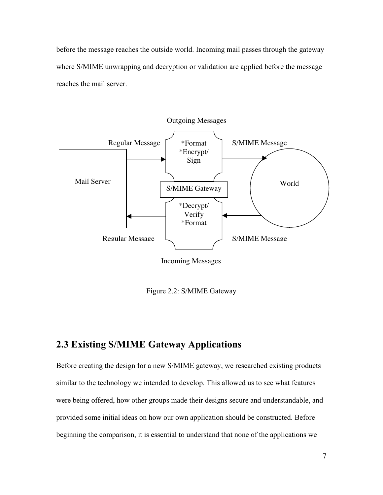before the message reaches the outside world. Incoming mail passes through the gateway where S/MIME unwrapping and decryption or validation are applied before the message reaches the mail server.



Incoming Messages

Figure 2.2: S/MIME Gateway

## **2.3 Existing S/MIME Gateway Applications**

Before creating the design for a new S/MIME gateway, we researched existing products similar to the technology we intended to develop. This allowed us to see what features were being offered, how other groups made their designs secure and understandable, and provided some initial ideas on how our own application should be constructed. Before beginning the comparison, it is essential to understand that none of the applications we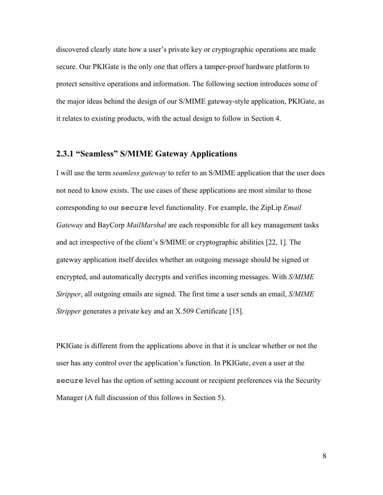discovered clearly state how a user's private key or cryptographic operations are made secure. Our PKIGate is the only one that offers a tamper-proof hardware platform to protect sensitive operations and information. The following section introduces some of the major ideas behind the design of our S/MIME gateway-style application, PKIGate, as it relates to existing products, with the actual design to follow in Section 4.

## **2.3.1 "Seamless" S/MIME Gateway Applications**

I will use the term *seamless gateway* to refer to an S/MIME application that the user does not need to know exists. The use cases of these applications are most similar to those corresponding to our secure level functionality. For example, the ZipLip *Email Gateway* and BayCorp *MailMarshal* are each responsible for all key management tasks and act irrespective of the client's S/MIME or cryptographic abilities [22, 1]. The gateway application itself decides whether an outgoing message should be signed or encrypted, and automatically decrypts and verifies incoming messages. With *S/MIME Stripper*, all outgoing emails are signed. The first time a user sends an email, *S/MIME Stripper* generates a private key and an X.509 Certificate [15].

PKIGate is different from the applications above in that it is unclear whether or not the user has any control over the application's function. In PKIGate, even a user at the secure level has the option of setting account or recipient preferences via the Security Manager (A full discussion of this follows in Section 5).

8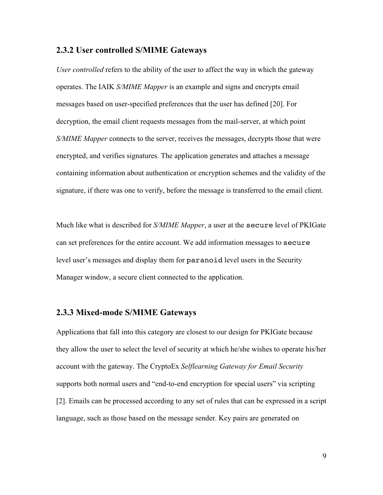#### **2.3.2 User controlled S/MIME Gateways**

*User controlled* refers to the ability of the user to affect the way in which the gateway operates. The IAIK *S/MIME Mapper* is an example and signs and encrypts email messages based on user-specified preferences that the user has defined [20]. For decryption, the email client requests messages from the mail-server, at which point *S/MIME Mapper* connects to the server, receives the messages, decrypts those that were encrypted, and verifies signatures. The application generates and attaches a message containing information about authentication or encryption schemes and the validity of the signature, if there was one to verify, before the message is transferred to the email client.

Much like what is described for *S/MIME Mapper*, a user at the secure level of PKIGate can set preferences for the entire account. We add information messages to secure level user's messages and display them for paranoid level users in the Security Manager window, a secure client connected to the application.

#### **2.3.3 Mixed-mode S/MIME Gateways**

Applications that fall into this category are closest to our design for PKIGate because they allow the user to select the level of security at which he/she wishes to operate his/her account with the gateway. The CryptoEx *Selflearning Gateway for Email Security* supports both normal users and "end-to-end encryption for special users" via scripting [2]. Emails can be processed according to any set of rules that can be expressed in a script language, such as those based on the message sender. Key pairs are generated on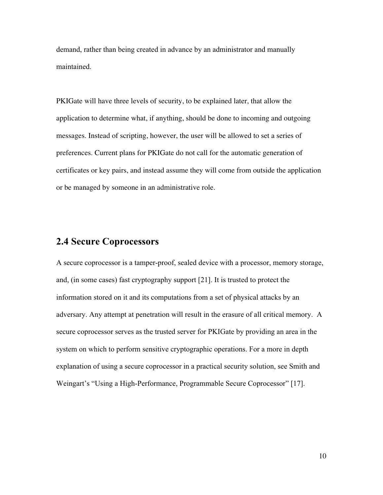demand, rather than being created in advance by an administrator and manually maintained.

PKIGate will have three levels of security, to be explained later, that allow the application to determine what, if anything, should be done to incoming and outgoing messages. Instead of scripting, however, the user will be allowed to set a series of preferences. Current plans for PKIGate do not call for the automatic generation of certificates or key pairs, and instead assume they will come from outside the application or be managed by someone in an administrative role.

## **2.4 Secure Coprocessors**

A secure coprocessor is a tamper-proof, sealed device with a processor, memory storage, and, (in some cases) fast cryptography support [21]. It is trusted to protect the information stored on it and its computations from a set of physical attacks by an adversary. Any attempt at penetration will result in the erasure of all critical memory. A secure coprocessor serves as the trusted server for PKIGate by providing an area in the system on which to perform sensitive cryptographic operations. For a more in depth explanation of using a secure coprocessor in a practical security solution, see Smith and Weingart's "Using a High-Performance, Programmable Secure Coprocessor" [17].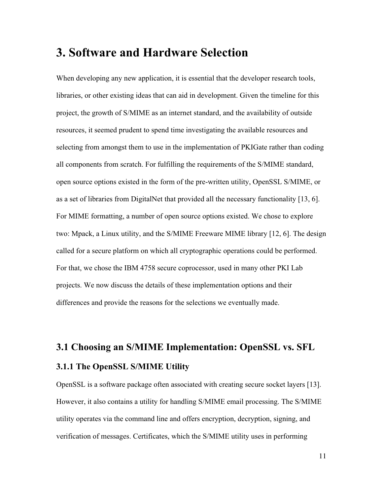## **3. Software and Hardware Selection**

When developing any new application, it is essential that the developer research tools, libraries, or other existing ideas that can aid in development. Given the timeline for this project, the growth of S/MIME as an internet standard, and the availability of outside resources, it seemed prudent to spend time investigating the available resources and selecting from amongst them to use in the implementation of PKIGate rather than coding all components from scratch. For fulfilling the requirements of the S/MIME standard, open source options existed in the form of the pre-written utility, OpenSSL S/MIME, or as a set of libraries from DigitalNet that provided all the necessary functionality [13, 6]. For MIME formatting, a number of open source options existed. We chose to explore two: Mpack, a Linux utility, and the S/MIME Freeware MIME library [12, 6]. The design called for a secure platform on which all cryptographic operations could be performed. For that, we chose the IBM 4758 secure coprocessor, used in many other PKI Lab projects. We now discuss the details of these implementation options and their differences and provide the reasons for the selections we eventually made.

# **3.1 Choosing an S/MIME Implementation: OpenSSL vs. SFL 3.1.1 The OpenSSL S/MIME Utility**

OpenSSL is a software package often associated with creating secure socket layers [13]. However, it also contains a utility for handling S/MIME email processing. The S/MIME utility operates via the command line and offers encryption, decryption, signing, and verification of messages. Certificates, which the S/MIME utility uses in performing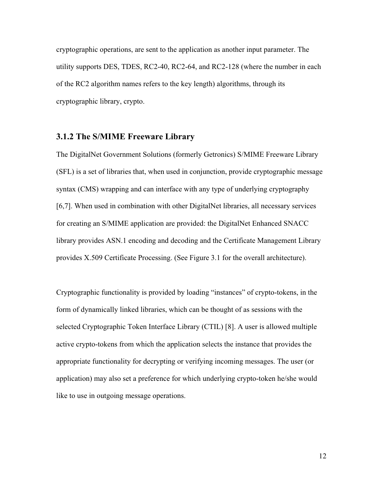cryptographic operations, are sent to the application as another input parameter. The utility supports DES, TDES, RC2-40, RC2-64, and RC2-128 (where the number in each of the RC2 algorithm names refers to the key length) algorithms, through its cryptographic library, crypto.

#### **3.1.2 The S/MIME Freeware Library**

The DigitalNet Government Solutions (formerly Getronics) S/MIME Freeware Library (SFL) is a set of libraries that, when used in conjunction, provide cryptographic message syntax (CMS) wrapping and can interface with any type of underlying cryptography [6,7]. When used in combination with other DigitalNet libraries, all necessary services for creating an S/MIME application are provided: the DigitalNet Enhanced SNACC library provides ASN.1 encoding and decoding and the Certificate Management Library provides X.509 Certificate Processing. (See Figure 3.1 for the overall architecture).

Cryptographic functionality is provided by loading "instances" of crypto-tokens, in the form of dynamically linked libraries, which can be thought of as sessions with the selected Cryptographic Token Interface Library (CTIL) [8]. A user is allowed multiple active crypto-tokens from which the application selects the instance that provides the appropriate functionality for decrypting or verifying incoming messages. The user (or application) may also set a preference for which underlying crypto-token he/she would like to use in outgoing message operations.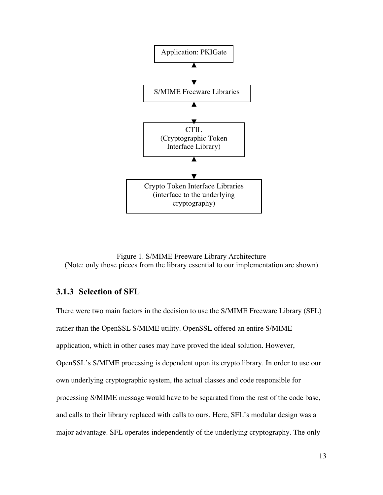

Figure 1. S/MIME Freeware Library Architecture (Note: only those pieces from the library essential to our implementation are shown)

#### **3.1.3 Selection of SFL**

There were two main factors in the decision to use the S/MIME Freeware Library (SFL) rather than the OpenSSL S/MIME utility. OpenSSL offered an entire S/MIME application, which in other cases may have proved the ideal solution. However, OpenSSL's S/MIME processing is dependent upon its crypto library. In order to use our own underlying cryptographic system, the actual classes and code responsible for processing S/MIME message would have to be separated from the rest of the code base, and calls to their library replaced with calls to ours. Here, SFL's modular design was a major advantage. SFL operates independently of the underlying cryptography. The only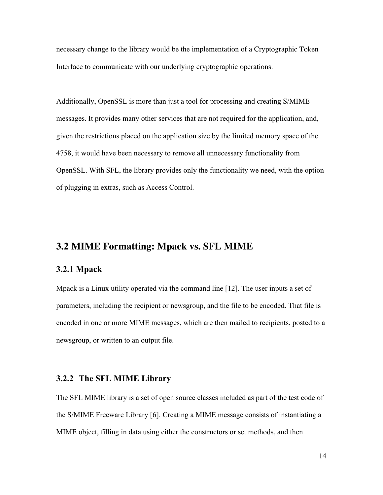necessary change to the library would be the implementation of a Cryptographic Token Interface to communicate with our underlying cryptographic operations.

Additionally, OpenSSL is more than just a tool for processing and creating S/MIME messages. It provides many other services that are not required for the application, and, given the restrictions placed on the application size by the limited memory space of the 4758, it would have been necessary to remove all unnecessary functionality from OpenSSL. With SFL, the library provides only the functionality we need, with the option of plugging in extras, such as Access Control.

## **3.2 MIME Formatting: Mpack vs. SFL MIME**

#### **3.2.1 Mpack**

Mpack is a Linux utility operated via the command line [12]. The user inputs a set of parameters, including the recipient or newsgroup, and the file to be encoded. That file is encoded in one or more MIME messages, which are then mailed to recipients, posted to a newsgroup, or written to an output file.

#### **3.2.2 The SFL MIME Library**

The SFL MIME library is a set of open source classes included as part of the test code of the S/MIME Freeware Library [6]. Creating a MIME message consists of instantiating a MIME object, filling in data using either the constructors or set methods, and then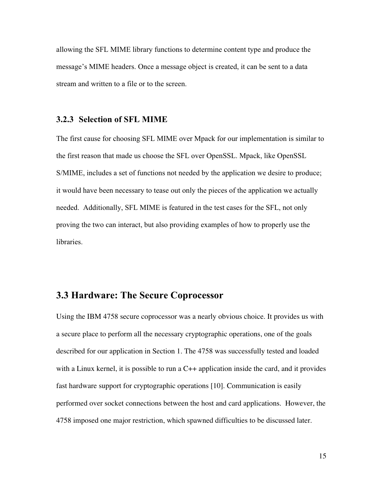allowing the SFL MIME library functions to determine content type and produce the message's MIME headers. Once a message object is created, it can be sent to a data stream and written to a file or to the screen.

#### **3.2.3 Selection of SFL MIME**

The first cause for choosing SFL MIME over Mpack for our implementation is similar to the first reason that made us choose the SFL over OpenSSL. Mpack, like OpenSSL S/MIME, includes a set of functions not needed by the application we desire to produce; it would have been necessary to tease out only the pieces of the application we actually needed. Additionally, SFL MIME is featured in the test cases for the SFL, not only proving the two can interact, but also providing examples of how to properly use the libraries.

#### **3.3 Hardware: The Secure Coprocessor**

Using the IBM 4758 secure coprocessor was a nearly obvious choice. It provides us with a secure place to perform all the necessary cryptographic operations, one of the goals described for our application in Section 1. The 4758 was successfully tested and loaded with a Linux kernel, it is possible to run a C++ application inside the card, and it provides fast hardware support for cryptographic operations [10]. Communication is easily performed over socket connections between the host and card applications. However, the 4758 imposed one major restriction, which spawned difficulties to be discussed later.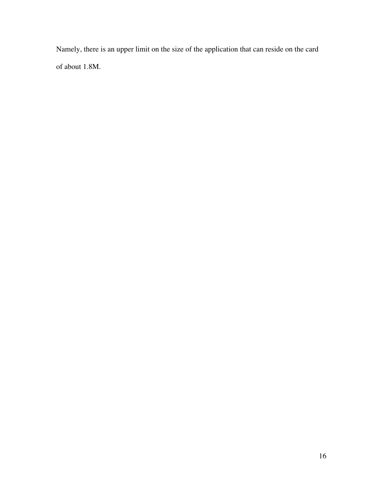Namely, there is an upper limit on the size of the application that can reside on the card of about 1.8M.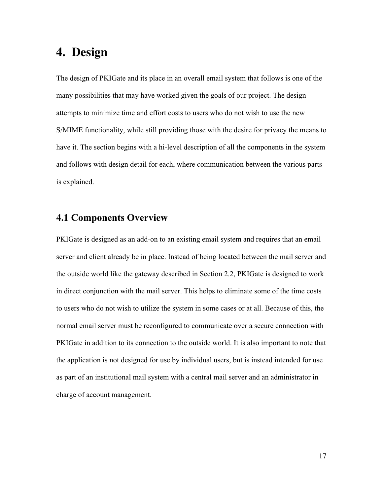# **4. Design**

The design of PKIGate and its place in an overall email system that follows is one of the many possibilities that may have worked given the goals of our project. The design attempts to minimize time and effort costs to users who do not wish to use the new S/MIME functionality, while still providing those with the desire for privacy the means to have it. The section begins with a hi-level description of all the components in the system and follows with design detail for each, where communication between the various parts is explained.

## **4.1 Components Overview**

PKIGate is designed as an add-on to an existing email system and requires that an email server and client already be in place. Instead of being located between the mail server and the outside world like the gateway described in Section 2.2, PKIGate is designed to work in direct conjunction with the mail server. This helps to eliminate some of the time costs to users who do not wish to utilize the system in some cases or at all. Because of this, the normal email server must be reconfigured to communicate over a secure connection with PKIGate in addition to its connection to the outside world. It is also important to note that the application is not designed for use by individual users, but is instead intended for use as part of an institutional mail system with a central mail server and an administrator in charge of account management.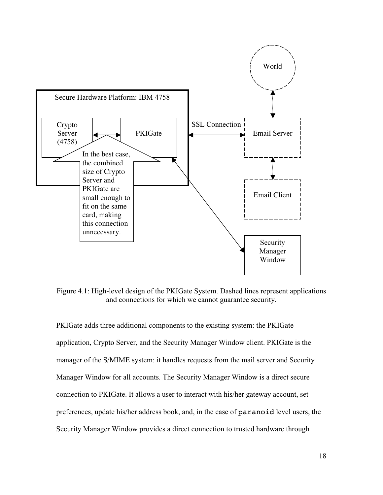

Figure 4.1: High-level design of the PKIGate System. Dashed lines represent applications and connections for which we cannot guarantee security.

PKIGate adds three additional components to the existing system: the PKIGate application, Crypto Server, and the Security Manager Window client. PKIGate is the manager of the S/MIME system: it handles requests from the mail server and Security Manager Window for all accounts. The Security Manager Window is a direct secure connection to PKIGate. It allows a user to interact with his/her gateway account, set preferences, update his/her address book, and, in the case of paranoid level users, the Security Manager Window provides a direct connection to trusted hardware through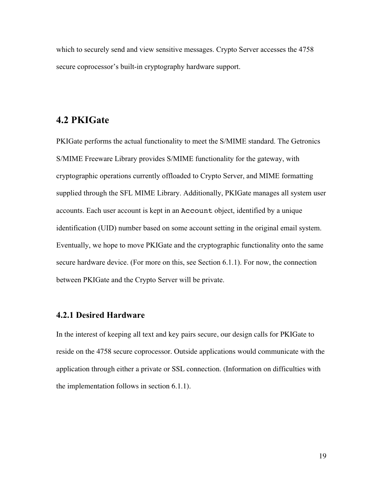which to securely send and view sensitive messages. Crypto Server accesses the 4758 secure coprocessor's built-in cryptography hardware support.

## **4.2 PKIGate**

PKIGate performs the actual functionality to meet the S/MIME standard. The Getronics S/MIME Freeware Library provides S/MIME functionality for the gateway, with cryptographic operations currently offloaded to Crypto Server, and MIME formatting supplied through the SFL MIME Library. Additionally, PKIGate manages all system user accounts. Each user account is kept in an Account object, identified by a unique identification (UID) number based on some account setting in the original email system. Eventually, we hope to move PKIGate and the cryptographic functionality onto the same secure hardware device. (For more on this, see Section 6.1.1). For now, the connection between PKIGate and the Crypto Server will be private.

#### **4.2.1 Desired Hardware**

In the interest of keeping all text and key pairs secure, our design calls for PKIGate to reside on the 4758 secure coprocessor. Outside applications would communicate with the application through either a private or SSL connection. (Information on difficulties with the implementation follows in section 6.1.1).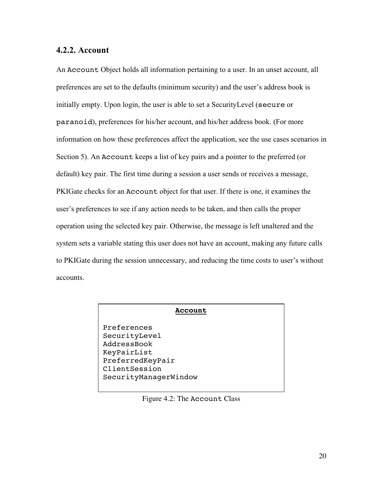#### **4.2.2. Account**

An Account Object holds all information pertaining to a user. In an unset account, all preferences are set to the defaults (minimum security) and the user's address book is initially empty. Upon login, the user is able to set a SecurityLevel (secure or paranoid), preferences for his/her account, and his/her address book. (For more information on how these preferences affect the application, see the use cases scenarios in Section 5). An Account keeps a list of key pairs and a pointer to the preferred (or default) key pair. The first time during a session a user sends or receives a message, PKIGate checks for an Account object for that user. If there is one, it examines the user's preferences to see if any action needs to be taken, and then calls the proper operation using the selected key pair. Otherwise, the message is left unaltered and the system sets a variable stating this user does not have an account, making any future calls to PKIGate during the session unnecessary, and reducing the time costs to user's without accounts.

#### **Account**

Preferences SecurityLevel AddressBook KeyPairList PreferredKeyPair ClientSession SecurityManagerWindow

Figure 4.2: The Account Class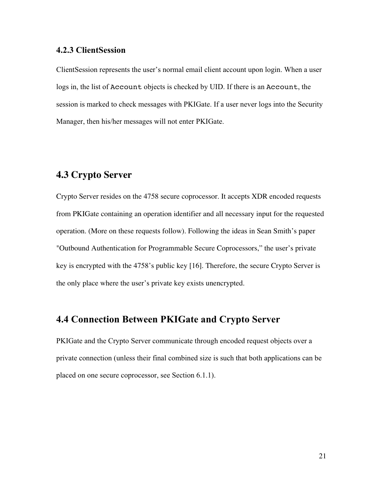#### **4.2.3 ClientSession**

ClientSession represents the user's normal email client account upon login. When a user logs in, the list of Account objects is checked by UID. If there is an Account, the session is marked to check messages with PKIGate. If a user never logs into the Security Manager, then his/her messages will not enter PKIGate.

## **4.3 Crypto Server**

Crypto Server resides on the 4758 secure coprocessor. It accepts XDR encoded requests from PKIGate containing an operation identifier and all necessary input for the requested operation. (More on these requests follow). Following the ideas in Sean Smith's paper "Outbound Authentication for Programmable Secure Coprocessors," the user's private key is encrypted with the 4758's public key [16]. Therefore, the secure Crypto Server is the only place where the user's private key exists unencrypted.

### **4.4 Connection Between PKIGate and Crypto Server**

PKIGate and the Crypto Server communicate through encoded request objects over a private connection (unless their final combined size is such that both applications can be placed on one secure coprocessor, see Section 6.1.1).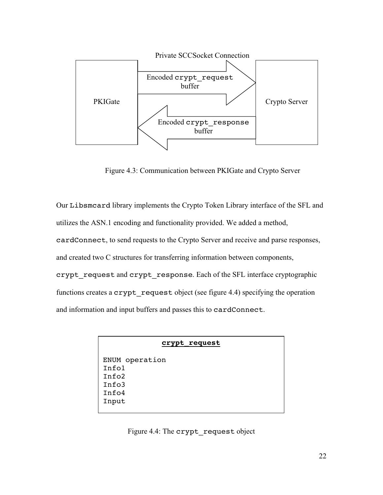

Figure 4.3: Communication between PKIGate and Crypto Server

Our Libsmcard library implements the Crypto Token Library interface of the SFL and utilizes the ASN.1 encoding and functionality provided. We added a method, cardConnect, to send requests to the Crypto Server and receive and parse responses, and created two C structures for transferring information between components, crypt request and crypt response. Each of the SFL interface cryptographic functions creates a crypt request object (see figure 4.4) specifying the operation and information and input buffers and passes this to cardConnect.

| crypt request |
|---------------|
|---------------|

ENUM operation Info1 Info2 Info3 Info4 Input

Figure 4.4: The crypt request object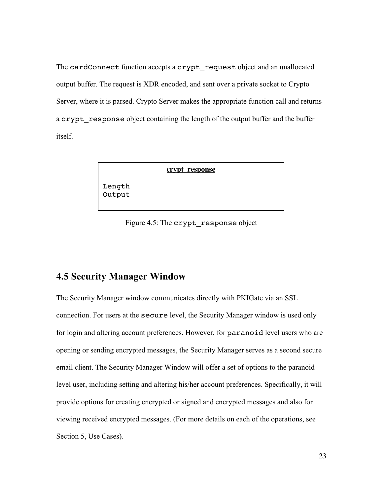The cardConnect function accepts a crypt request object and an unallocated output buffer. The request is XDR encoded, and sent over a private socket to Crypto Server, where it is parsed. Crypto Server makes the appropriate function call and returns a crypt response object containing the length of the output buffer and the buffer itself.

**crypt\_response**

Length Output

Figure 4.5: The crypt\_response object

## **4.5 Security Manager Window**

The Security Manager window communicates directly with PKIGate via an SSL connection. For users at the secure level, the Security Manager window is used only for login and altering account preferences. However, for paranoid level users who are opening or sending encrypted messages, the Security Manager serves as a second secure email client. The Security Manager Window will offer a set of options to the paranoid level user, including setting and altering his/her account preferences. Specifically, it will provide options for creating encrypted or signed and encrypted messages and also for viewing received encrypted messages. (For more details on each of the operations, see Section 5, Use Cases).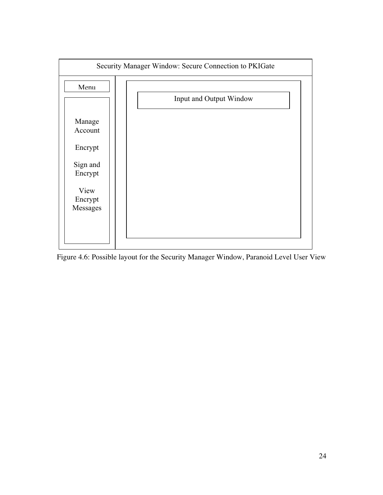

Figure 4.6: Possible layout for the Security Manager Window, Paranoid Level User View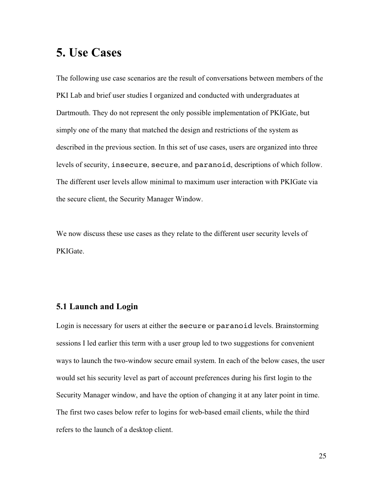# **5. Use Cases**

The following use case scenarios are the result of conversations between members of the PKI Lab and brief user studies I organized and conducted with undergraduates at Dartmouth. They do not represent the only possible implementation of PKIGate, but simply one of the many that matched the design and restrictions of the system as described in the previous section. In this set of use cases, users are organized into three levels of security, insecure, secure, and paranoid, descriptions of which follow. The different user levels allow minimal to maximum user interaction with PKIGate via the secure client, the Security Manager Window.

We now discuss these use cases as they relate to the different user security levels of PKIGate.

## **5.1 Launch and Login**

Login is necessary for users at either the secure or paranoid levels. Brainstorming sessions I led earlier this term with a user group led to two suggestions for convenient ways to launch the two-window secure email system. In each of the below cases, the user would set his security level as part of account preferences during his first login to the Security Manager window, and have the option of changing it at any later point in time. The first two cases below refer to logins for web-based email clients, while the third refers to the launch of a desktop client.

25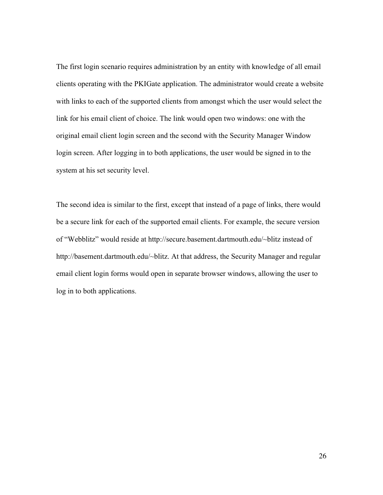The first login scenario requires administration by an entity with knowledge of all email clients operating with the PKIGate application. The administrator would create a website with links to each of the supported clients from amongst which the user would select the link for his email client of choice. The link would open two windows: one with the original email client login screen and the second with the Security Manager Window login screen. After logging in to both applications, the user would be signed in to the system at his set security level.

The second idea is similar to the first, except that instead of a page of links, there would be a secure link for each of the supported email clients. For example, the secure version of "Webblitz" would reside at http://secure.basement.dartmouth.edu/~blitz instead of http://basement.dartmouth.edu/~blitz. At that address, the Security Manager and regular email client login forms would open in separate browser windows, allowing the user to log in to both applications.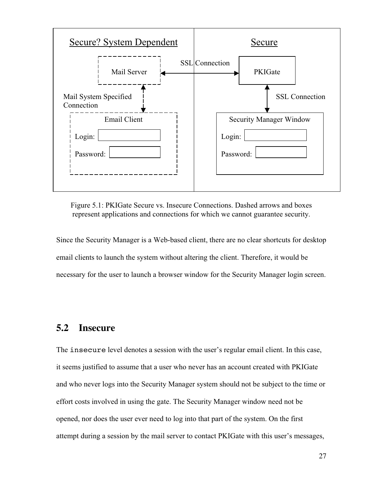

Figure 5.1: PKIGate Secure vs. Insecure Connections. Dashed arrows and boxes represent applications and connections for which we cannot guarantee security.

Since the Security Manager is a Web-based client, there are no clear shortcuts for desktop email clients to launch the system without altering the client. Therefore, it would be necessary for the user to launch a browser window for the Security Manager login screen.

## **5.2 Insecure**

The insecure level denotes a session with the user's regular email client. In this case, it seems justified to assume that a user who never has an account created with PKIGate and who never logs into the Security Manager system should not be subject to the time or effort costs involved in using the gate. The Security Manager window need not be opened, nor does the user ever need to log into that part of the system. On the first attempt during a session by the mail server to contact PKIGate with this user's messages,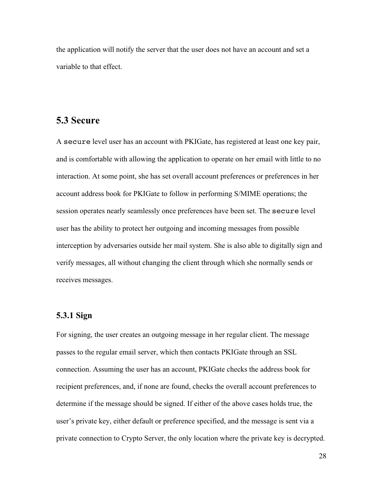the application will notify the server that the user does not have an account and set a variable to that effect.

#### **5.3 Secure**

A secure level user has an account with PKIGate, has registered at least one key pair, and is comfortable with allowing the application to operate on her email with little to no interaction. At some point, she has set overall account preferences or preferences in her account address book for PKIGate to follow in performing S/MIME operations; the session operates nearly seamlessly once preferences have been set. The secure level user has the ability to protect her outgoing and incoming messages from possible interception by adversaries outside her mail system. She is also able to digitally sign and verify messages, all without changing the client through which she normally sends or receives messages.

## **5.3.1 Sign**

For signing, the user creates an outgoing message in her regular client. The message passes to the regular email server, which then contacts PKIGate through an SSL connection. Assuming the user has an account, PKIGate checks the address book for recipient preferences, and, if none are found, checks the overall account preferences to determine if the message should be signed. If either of the above cases holds true, the user's private key, either default or preference specified, and the message is sent via a private connection to Crypto Server, the only location where the private key is decrypted.

28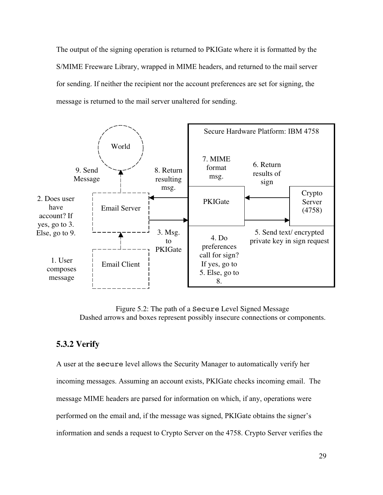The output of the signing operation is returned to PKIGate where it is formatted by the S/MIME Freeware Library, wrapped in MIME headers, and returned to the mail server for sending. If neither the recipient nor the account preferences are set for signing, the message is returned to the mail server unaltered for sending.



Figure 5.2: The path of a Secure Level Signed Message Dashed arrows and boxes represent possibly insecure connections or components.

#### **5.3.2 Verify**

A user at the secure level allows the Security Manager to automatically verify her incoming messages. Assuming an account exists, PKIGate checks incoming email. The message MIME headers are parsed for information on which, if any, operations were performed on the email and, if the message was signed, PKIGate obtains the signer's information and sends a request to Crypto Server on the 4758. Crypto Server verifies the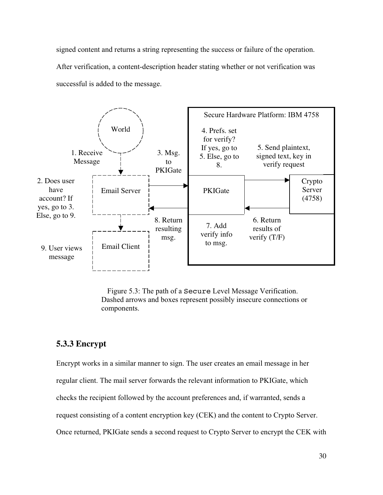signed content and returns a string representing the success or failure of the operation.

After verification, a content-description header stating whether or not verification was successful is added to the message.



Figure 5.3: The path of a Secure Level Message Verification. Dashed arrows and boxes represent possibly insecure connections or components.

## **5.3.3 Encrypt**

Encrypt works in a similar manner to sign. The user creates an email message in her regular client. The mail server forwards the relevant information to PKIGate, which checks the recipient followed by the account preferences and, if warranted, sends a request consisting of a content encryption key (CEK) and the content to Crypto Server. Once returned, PKIGate sends a second request to Crypto Server to encrypt the CEK with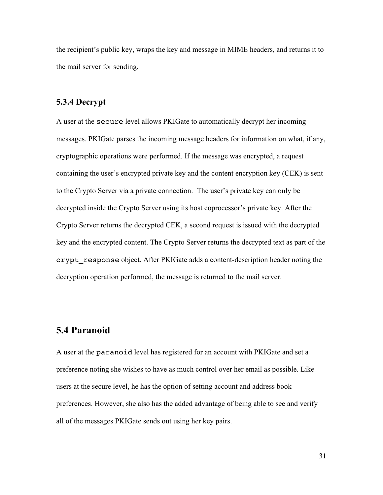the recipient's public key, wraps the key and message in MIME headers, and returns it to the mail server for sending.

#### **5.3.4 Decrypt**

A user at the secure level allows PKIGate to automatically decrypt her incoming messages. PKIGate parses the incoming message headers for information on what, if any, cryptographic operations were performed. If the message was encrypted, a request containing the user's encrypted private key and the content encryption key (CEK) is sent to the Crypto Server via a private connection. The user's private key can only be decrypted inside the Crypto Server using its host coprocessor's private key. After the Crypto Server returns the decrypted CEK, a second request is issued with the decrypted key and the encrypted content. The Crypto Server returns the decrypted text as part of the crypt response object. After PKIGate adds a content-description header noting the decryption operation performed, the message is returned to the mail server.

## **5.4 Paranoid**

A user at the paranoid level has registered for an account with PKIGate and set a preference noting she wishes to have as much control over her email as possible. Like users at the secure level, he has the option of setting account and address book preferences. However, she also has the added advantage of being able to see and verify all of the messages PKIGate sends out using her key pairs.

31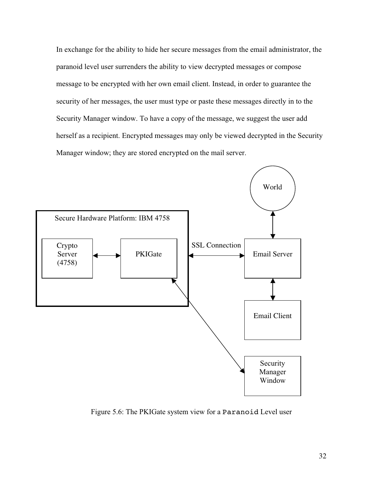In exchange for the ability to hide her secure messages from the email administrator, the paranoid level user surrenders the ability to view decrypted messages or compose message to be encrypted with her own email client. Instead, in order to guarantee the security of her messages, the user must type or paste these messages directly in to the Security Manager window. To have a copy of the message, we suggest the user add herself as a recipient. Encrypted messages may only be viewed decrypted in the Security Manager window; they are stored encrypted on the mail server.



Figure 5.6: The PKIGate system view for a Paranoid Level user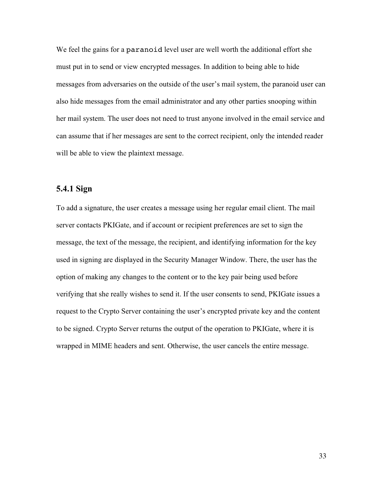We feel the gains for a paranoid level user are well worth the additional effort she must put in to send or view encrypted messages. In addition to being able to hide messages from adversaries on the outside of the user's mail system, the paranoid user can also hide messages from the email administrator and any other parties snooping within her mail system. The user does not need to trust anyone involved in the email service and can assume that if her messages are sent to the correct recipient, only the intended reader will be able to view the plaintext message.

#### **5.4.1 Sign**

To add a signature, the user creates a message using her regular email client. The mail server contacts PKIGate, and if account or recipient preferences are set to sign the message, the text of the message, the recipient, and identifying information for the key used in signing are displayed in the Security Manager Window. There, the user has the option of making any changes to the content or to the key pair being used before verifying that she really wishes to send it. If the user consents to send, PKIGate issues a request to the Crypto Server containing the user's encrypted private key and the content to be signed. Crypto Server returns the output of the operation to PKIGate, where it is wrapped in MIME headers and sent. Otherwise, the user cancels the entire message.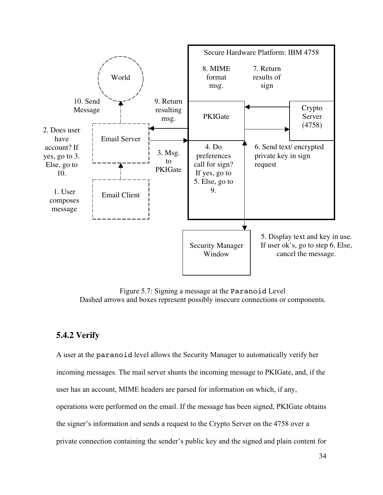

Figure 5.7: Signing a message at the Paranoid Level Dashed arrows and boxes represent possibly insecure connections or components.

### **5.4.2 Verify**

A user at the paranoid level allows the Security Manager to automatically verify her incoming messages. The mail server shunts the incoming message to PKIGate, and, if the user has an account, MIME headers are parsed for information on which, if any, operations were performed on the email. If the message has been signed, PKIGate obtains the signer's information and sends a request to the Crypto Server on the 4758 over a private connection containing the sender's public key and the signed and plain content for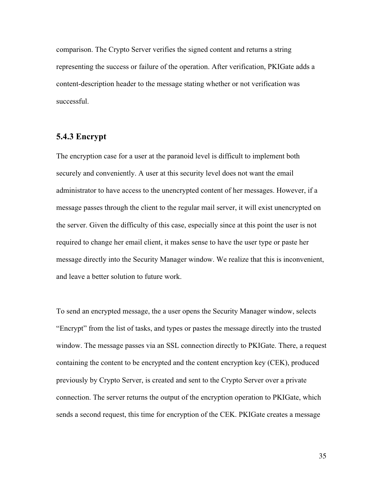comparison. The Crypto Server verifies the signed content and returns a string representing the success or failure of the operation. After verification, PKIGate adds a content-description header to the message stating whether or not verification was successful.

#### **5.4.3 Encrypt**

The encryption case for a user at the paranoid level is difficult to implement both securely and conveniently. A user at this security level does not want the email administrator to have access to the unencrypted content of her messages. However, if a message passes through the client to the regular mail server, it will exist unencrypted on the server. Given the difficulty of this case, especially since at this point the user is not required to change her email client, it makes sense to have the user type or paste her message directly into the Security Manager window. We realize that this is inconvenient, and leave a better solution to future work.

To send an encrypted message, the a user opens the Security Manager window, selects "Encrypt" from the list of tasks, and types or pastes the message directly into the trusted window. The message passes via an SSL connection directly to PKIGate. There, a request containing the content to be encrypted and the content encryption key (CEK), produced previously by Crypto Server, is created and sent to the Crypto Server over a private connection. The server returns the output of the encryption operation to PKIGate, which sends a second request, this time for encryption of the CEK. PKIGate creates a message

35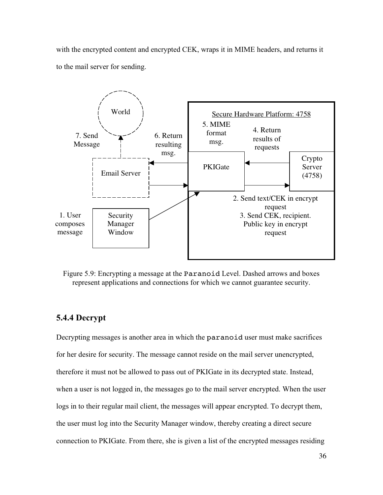with the encrypted content and encrypted CEK, wraps it in MIME headers, and returns it to the mail server for sending.



Figure 5.9: Encrypting a message at the Paranoid Level. Dashed arrows and boxes represent applications and connections for which we cannot guarantee security.

## **5.4.4 Decrypt**

Decrypting messages is another area in which the paranoid user must make sacrifices for her desire for security. The message cannot reside on the mail server unencrypted, therefore it must not be allowed to pass out of PKIGate in its decrypted state. Instead, when a user is not logged in, the messages go to the mail server encrypted. When the user logs in to their regular mail client, the messages will appear encrypted. To decrypt them, the user must log into the Security Manager window, thereby creating a direct secure connection to PKIGate. From there, she is given a list of the encrypted messages residing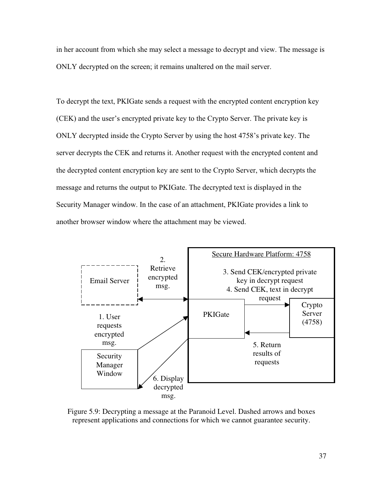in her account from which she may select a message to decrypt and view. The message is ONLY decrypted on the screen; it remains unaltered on the mail server.

To decrypt the text, PKIGate sends a request with the encrypted content encryption key (CEK) and the user's encrypted private key to the Crypto Server. The private key is ONLY decrypted inside the Crypto Server by using the host 4758's private key. The server decrypts the CEK and returns it. Another request with the encrypted content and the decrypted content encryption key are sent to the Crypto Server, which decrypts the message and returns the output to PKIGate. The decrypted text is displayed in the Security Manager window. In the case of an attachment, PKIGate provides a link to another browser window where the attachment may be viewed.



Figure 5.9: Decrypting a message at the Paranoid Level. Dashed arrows and boxes represent applications and connections for which we cannot guarantee security.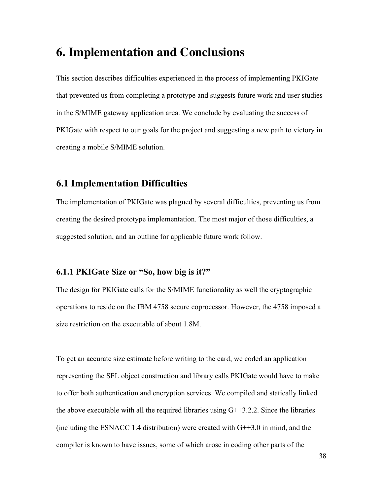## **6. Implementation and Conclusions**

This section describes difficulties experienced in the process of implementing PKIGate that prevented us from completing a prototype and suggests future work and user studies in the S/MIME gateway application area. We conclude by evaluating the success of PKIGate with respect to our goals for the project and suggesting a new path to victory in creating a mobile S/MIME solution.

## **6.1 Implementation Difficulties**

The implementation of PKIGate was plagued by several difficulties, preventing us from creating the desired prototype implementation. The most major of those difficulties, a suggested solution, and an outline for applicable future work follow.

#### **6.1.1 PKIGate Size or "So, how big is it?"**

The design for PKIGate calls for the S/MIME functionality as well the cryptographic operations to reside on the IBM 4758 secure coprocessor. However, the 4758 imposed a size restriction on the executable of about 1.8M.

To get an accurate size estimate before writing to the card, we coded an application representing the SFL object construction and library calls PKIGate would have to make to offer both authentication and encryption services. We compiled and statically linked the above executable with all the required libraries using  $G++3.2.2$ . Since the libraries (including the ESNACC 1.4 distribution) were created with  $G++3.0$  in mind, and the compiler is known to have issues, some of which arose in coding other parts of the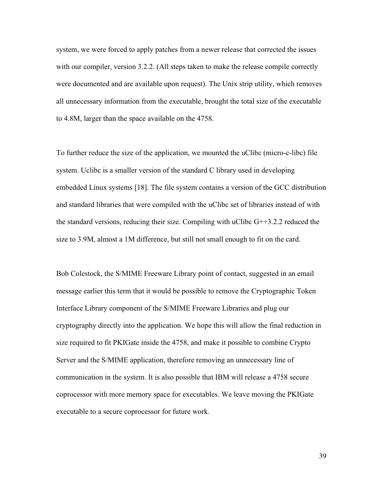system, we were forced to apply patches from a newer release that corrected the issues with our compiler, version 3.2.2. (All steps taken to make the release compile correctly were documented and are available upon request). The Unix strip utility, which removes all unnecessary information from the executable, brought the total size of the executable to 4.8M, larger than the space available on the 4758.

To further reduce the size of the application, we mounted the uClibc (micro-c-libc) file system. Uclibc is a smaller version of the standard C library used in developing embedded Linux systems [18]. The file system contains a version of the GCC distribution and standard libraries that were compiled with the uClibc set of libraries instead of with the standard versions, reducing their size. Compiling with uClibc  $G++3.2.2$  reduced the size to 3.9M, almost a 1M difference, but still not small enough to fit on the card.

Bob Colestock, the S/MIME Freeware Library point of contact, suggested in an email message earlier this term that it would be possible to remove the Cryptographic Token Interface Library component of the S/MIME Freeware Libraries and plug our cryptography directly into the application. We hope this will allow the final reduction in size required to fit PKIGate inside the 4758, and make it possible to combine Crypto Server and the S/MIME application, therefore removing an unnecessary line of communication in the system. It is also possible that IBM will release a 4758 secure coprocessor with more memory space for executables. We leave moving the PKIGate executable to a secure coprocessor for future work.

39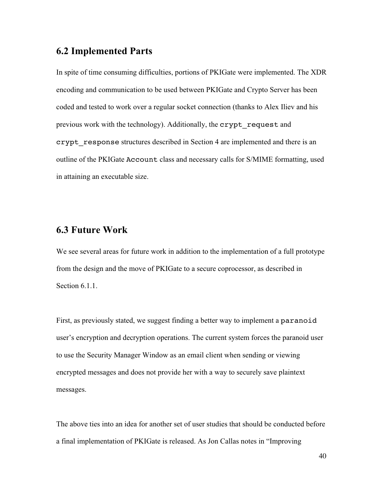### **6.2 Implemented Parts**

In spite of time consuming difficulties, portions of PKIGate were implemented. The XDR encoding and communication to be used between PKIGate and Crypto Server has been coded and tested to work over a regular socket connection (thanks to Alex Iliev and his previous work with the technology). Additionally, the crypt\_request and crypt response structures described in Section 4 are implemented and there is an outline of the PKIGate Account class and necessary calls for S/MIME formatting, used in attaining an executable size.

#### **6.3 Future Work**

We see several areas for future work in addition to the implementation of a full prototype from the design and the move of PKIGate to a secure coprocessor, as described in Section 6.1.1.

First, as previously stated, we suggest finding a better way to implement a paranoid user's encryption and decryption operations. The current system forces the paranoid user to use the Security Manager Window as an email client when sending or viewing encrypted messages and does not provide her with a way to securely save plaintext messages.

The above ties into an idea for another set of user studies that should be conducted before a final implementation of PKIGate is released. As Jon Callas notes in "Improving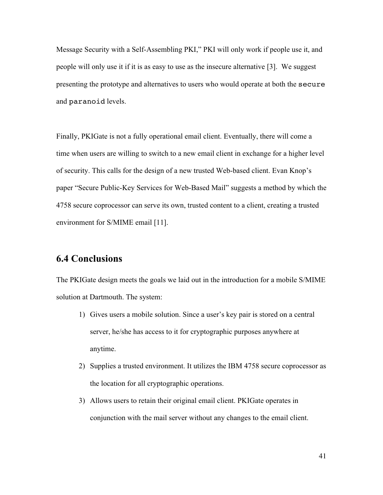Message Security with a Self-Assembling PKI," PKI will only work if people use it, and people will only use it if it is as easy to use as the insecure alternative [3]. We suggest presenting the prototype and alternatives to users who would operate at both the secure and paranoid levels.

Finally, PKIGate is not a fully operational email client. Eventually, there will come a time when users are willing to switch to a new email client in exchange for a higher level of security. This calls for the design of a new trusted Web-based client. Evan Knop's paper "Secure Public-Key Services for Web-Based Mail" suggests a method by which the 4758 secure coprocessor can serve its own, trusted content to a client, creating a trusted environment for S/MIME email [11].

## **6.4 Conclusions**

The PKIGate design meets the goals we laid out in the introduction for a mobile S/MIME solution at Dartmouth. The system:

- 1) Gives users a mobile solution. Since a user's key pair is stored on a central server, he/she has access to it for cryptographic purposes anywhere at anytime.
- 2) Supplies a trusted environment. It utilizes the IBM 4758 secure coprocessor as the location for all cryptographic operations.
- 3) Allows users to retain their original email client. PKIGate operates in conjunction with the mail server without any changes to the email client.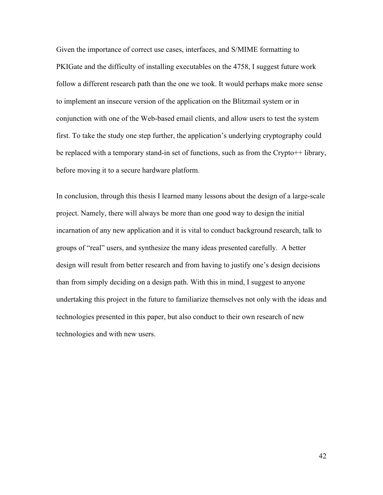Given the importance of correct use cases, interfaces, and S/MIME formatting to PKIGate and the difficulty of installing executables on the 4758, I suggest future work follow a different research path than the one we took. It would perhaps make more sense to implement an insecure version of the application on the Blitzmail system or in conjunction with one of the Web-based email clients, and allow users to test the system first. To take the study one step further, the application's underlying cryptography could be replaced with a temporary stand-in set of functions, such as from the Crypto<sup>++</sup> library, before moving it to a secure hardware platform.

In conclusion, through this thesis I learned many lessons about the design of a large-scale project. Namely, there will always be more than one good way to design the initial incarnation of any new application and it is vital to conduct background research, talk to groups of "real" users, and synthesize the many ideas presented carefully. A better design will result from better research and from having to justify one's design decisions than from simply deciding on a design path. With this in mind, I suggest to anyone undertaking this project in the future to familiarize themselves not only with the ideas and technologies presented in this paper, but also conduct to their own research of new technologies and with new users.

42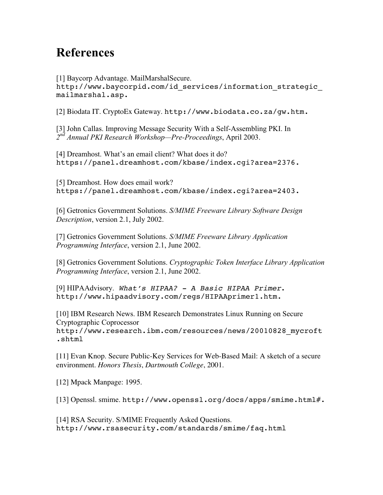# **References**

[1] Baycorp Advantage. MailMarshalSecure.

http://www.baycorpid.com/id services/information strategic mailmarshal.asp.

[2] Biodata IT. CryptoEx Gateway. http://www.biodata.co.za/gw.htm.

[3] John Callas. Improving Message Security With a Self-Assembling PKI. In *2nd Annual PKI Research Workshop—Pre-Proceedings*, April 2003.

[4] Dreamhost. What's an email client? What does it do? https://panel.dreamhost.com/kbase/index.cgi?area=2376.

[5] Dreamhost. How does email work? https://panel.dreamhost.com/kbase/index.cgi?area=2403.

[6] Getronics Government Solutions. *S/MIME Freeware Library Software Design Description*, version 2.1, July 2002.

[7] Getronics Government Solutions. *S/MIME Freeware Library Application Programming Interface*, version 2.1, June 2002.

[8] Getronics Government Solutions. *Cryptographic Token Interface Library Application Programming Interface*, version 2.1, June 2002.

[9] HIPAAdvisory. What's HIPAA? - A Basic HIPAA Primer. http://www.hipaadvisory.com/regs/HIPAAprimer1.htm.

[10] IBM Research News. IBM Research Demonstrates Linux Running on Secure Cryptographic Coprocessor**.** http://www.research.ibm.com/resources/news/20010828\_mycroft .shtml

[11] Evan Knop. Secure Public-Key Services for Web-Based Mail: A sketch of a secure environment. *Honors Thesis*, *Dartmouth College*, 2001.

[12] Mpack Manpage: 1995.

[13] Openssl. smime. http://www.openssl.org/docs/apps/smime.html#.

[14] RSA Security. S/MIME Frequently Asked Questions. http://www.rsasecurity.com/standards/smime/faq.html